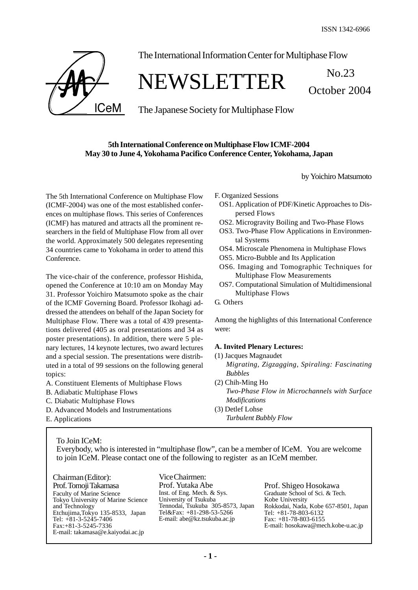October 2004



The International Information Center for Multiphase Flow

# NEWSLETTER No.23

The Japanese Society for Multiphase Flow

### **5th International Conference on Multiphase Flow ICMF-2004 May 30 to June 4, Yokohama Pacifico Conference Center, Yokohama, Japan**

by Yoichiro Matsumoto

The 5th International Conference on Multiphase Flow (ICMF-2004) was one of the most established conferences on multiphase flows. This series of Conferences (ICMF) has matured and attracts all the prominent researchers in the field of Multiphase Flow from all over the world. Approximately 500 delegates representing 34 countries came to Yokohama in order to attend this Conference.

The vice-chair of the conference, professor Hishida, opened the Conference at 10:10 am on Monday May 31. Professor Yoichiro Matsumoto spoke as the chair of the ICMF Governing Board. Professor Ikohagi addressed the attendees on behalf of the Japan Society for Multiphase Flow. There was a total of 439 presentations delivered (405 as oral presentations and 34 as poster presentations). In addition, there were 5 plenary lectures, 14 keynote lectures, two award lectures and a special session. The presentations were distributed in a total of 99 sessions on the following general topics:

- A. Constituent Elements of Multiphase Flows
- B. Adiabatic Multiphase Flows
- C. Diabatic Multiphase Flows
- D. Advanced Models and Instrumentations
- E. Applications

F. Organized Sessions

- OS1. Application of PDF/Kinetic Approaches to Dispersed Flows
- OS2. Microgravity Boiling and Two-Phase Flows
- OS3. Two-Phase Flow Applications in Environmental Systems
- OS4. Microscale Phenomena in Multiphase Flows
- OS5. Micro-Bubble and Its Application
- OS6. Imaging and Tomographic Techniques for Multiphase Flow Measurements
- OS7. Computational Simulation of Multidimensional Multiphase Flows

G. Others

Among the highlights of this International Conference were:

#### **A. Invited Plenary Lectures:**

- (1) Jacques Magnaudet *Migrating, Zigzagging, Spiraling: Fascinating Bubbles* (2) Chih-Ming Ho
	- *Two-Phase Flow in Microchannels with Surface Modifications*
- (3) Detlef Lohse *Turbulent Bubbly Flow*

To Join ICeM:

Everybody, who is interested in "multiphase flow", can be a member of ICeM. You are welcome to join ICeM. Please contact one of the following to register as an ICeM member.

Chairman (Editor): Prof. Tomoji Takamasa Faculty of Marine Science Tokyo University of Marine Science and Technology Etchujima,Tokyo 135-8533, Japan Tel: +81-3-5245-7406 Fax:+81-3-5245-7336 E-mail: takamasa@e.kaiyodai.ac.jp

Vice Chairmen: Prof. Yutaka Abe Inst. of Eng. Mech. & Sys. University of Tsukuba Tennodai, Tsukuba 305-8573, Japan Tel&Fax: +81-298-53-5266 E-mail: abe@kz.tsukuba.ac.jp

Prof. Shigeo Hosokawa Graduate School of Sci. & Tech. Kobe University Rokkodai, Nada, Kobe 657-8501, Japan Tel: +81-78-803-6132 Fax: +81-78-803-6155 E-mail: hosokawa@mech.kobe-u.ac.jp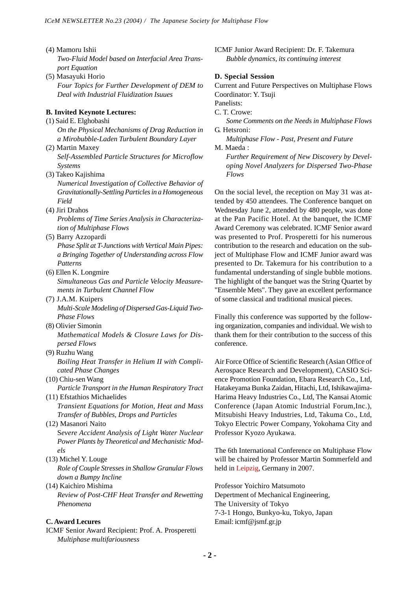- (4) Mamoru Ishii *Two-Fluid Model based on Interfacial Area Transport Equation*
- (5) Masayuki Horio *Four Topics for Further Development of DEM to Deal with Industrial Fluidization Isuues*

#### **B. Invited Keynote Lectures:**

- (1) Said E. Elghobashi *On the Physical Mechanisms of Drag Reduction in a Mirobubble-Laden Turbulent Boundary Layer*
- (2) Martin Maxey *Self-Assembled Particle Structures for Microflow Systems*
- (3) Takeo Kajishima

*Numerical Investigation of Collective Behavior of Gravitationally-Settling Particles in a Homogeneous Field*

- (4) Jiri Drahos *Problems of Time Series Analysis in Characterization of Multiphase Flows*
- (5) Barry Azzopardi

*Phase Split at T-Junctions with Vertical Main Pipes: a Bringing Together of Understanding across Flow Patterns*

- (6) Ellen K. Longmire *Simultaneous Gas and Particle Velocity Measurements in Turbulent Channel Flow*
- (7) J.A.M. Kuipers *Multi-Scale Modeling of Dispersed Gas-Liquid Two-Phase Flows*
- (8) Olivier Simonin *Mathematical Models & Closure Laws for Dispersed Flows*
- (9) Ruzhu Wang *Boiling Heat Transfer in Helium II with Complicated Phase Changes*
- (10) Chiu-sen Wang *Particle Transport in the Human Respiratory Tract*

(11) Efstathios Michaelides *Transient Equations for Motion, Heat and Mass Transfer of Bubbles, Drops and Particles*

- (12) Masanori Naito S*evere Accident Analysis of Light Water Nuclear Power Plants by Theoretical and Mechanistic Models*
- (13) Michel Y. Louge *Role of Couple Stresses in Shallow Granular Flows down a Bumpy Incline*
- (14) Kaichiro Mishima *Review of Post-CHF Heat Transfer and Rewetting Phenomena*

#### **C. Award Lecures**

ICMF Senior Award Recipient: Prof. A. Prosperetti *Multiphase multifariousness*

ICMF Junior Award Recipient: Dr. F. Takemura *Bubble dynamics, its continuing interest*

#### **D. Special Session**

Current and Future Perspectives on Multiphase Flows Coordinator: Y. Tsuji

Panelists: C. T. Crowe:

*Some Comments on the Needs in Multiphase Flows* G. Hetsroni:

*Multiphase Flow - Past, Present and Future* M. Maeda :

*Further Requirement of New Discovery by Developing Novel Analyzers for Dispersed Two-Phase Flows*

On the social level, the reception on May 31 was attended by 450 attendees. The Conference banquet on Wednesday June 2, attended by 480 people, was done at the Pan Pacific Hotel. At the banquet, the ICMF Award Ceremony was celebrated. ICMF Senior award was presented to Prof. Prosperetti for his numerous contribution to the research and education on the subject of Multiphase Flow and ICMF Junior award was presented to Dr. Takemura for his contribution to a fundamental understanding of single bubble motions. The highlight of the banquet was the String Quartet by "Ensemble Mets". They gave an excellent performance of some classical and traditional musical pieces.

Finally this conference was supported by the following organization, companies and individual. We wish to thank them for their contribution to the success of this conference.

Air Force Office of Scientific Research (Asian Office of Aerospace Research and Development), CASIO Science Promotion Foundation, Ebara Research Co., Ltd, Hatakeyama Bunka Zaidan, Hitachi, Ltd, Ishikawajima-Harima Heavy Industries Co., Ltd, The Kansai Atomic Conference (Japan Atomic Industrial Forum,Inc.), Mitsubishi Heavy Industries, Ltd, Takuma Co., Ltd, Tokyo Electric Power Company, Yokohama City and Professor Kyozo Ayukawa.

The 6th International Conference on Multiphase Flow will be chaired by Professor Martin Sommerfeld and held in Leipzig, Germany in 2007.

Professor Yoichiro Matsumoto Depertment of Mechanical Engineering, The University of Tokyo 7-3-1 Hongo, Bunkyo-ku, Tokyo, Japan Email: icmf@jsmf.gr.jp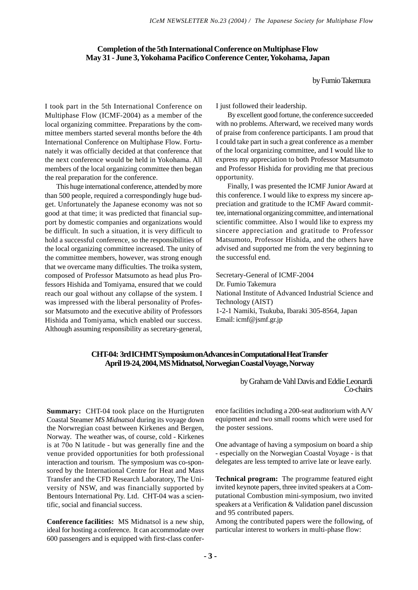#### **Completion of the 5th International Conference on Multiphase Flow May 31 - June 3, Yokohama Pacifico Conference Center, Yokohama, Japan**

by Fumio Takemura

I took part in the 5th International Conference on Multiphase Flow (ICMF-2004) as a member of the local organizing committee. Preparations by the committee members started several months before the 4th International Conference on Multiphase Flow. Fortunately it was officially decided at that conference that the next conference would be held in Yokohama. All members of the local organizing committee then began the real preparation for the conference.

This huge international conference, attended by more than 500 people, required a correspondingly huge budget. Unfortunately the Japanese economy was not so good at that time; it was predicted that financial support by domestic companies and organizations would be difficult. In such a situation, it is very difficult to hold a successful conference, so the responsibilities of the local organizing committee increased. The unity of the committee members, however, was strong enough that we overcame many difficulties. The troika system, composed of Professor Matsumoto as head plus Professors Hishida and Tomiyama, ensured that we could reach our goal without any collapse of the system. I was impressed with the liberal personality of Professor Matsumoto and the executive ability of Professors Hishida and Tomiyama, which enabled our success. Although assuming responsibility as secretary-general,

I just followed their leadership.

By excellent good fortune, the conference succeeded with no problems. Afterward, we received many words of praise from conference participants. I am proud that I could take part in such a great conference as a member of the local organizing committee, and I would like to express my appreciation to both Professor Matsumoto and Professor Hishida for providing me that precious opportunity.

Finally, I was presented the ICMF Junior Award at this conference. I would like to express my sincere appreciation and gratitude to the ICMF Award committee, international organizing committee, and international scientific committee. Also I would like to express my sincere appreciation and gratitude to Professor Matsumoto, Professor Hishida, and the others have advised and supported me from the very beginning to the successful end.

Secretary-General of ICMF-2004 Dr. Fumio Takemura National Institute of Advanced Industrial Science and Technology (AIST) 1-2-1 Namiki, Tsukuba, Ibaraki 305-8564, Japan Email: icmf@jsmf.gr.jp

#### **CHT-04: 3rd ICHMT Symposium on Advances in Computational Heat Transfer April 19-24, 2004, MS Midnatsol, Norwegian Coastal Voyage, Norway**

**Summary:** CHT-04 took place on the Hurtigruten Coastal Steamer *MS Midnatsol* during its voyage down the Norwregian coast between Kirkenes and Bergen, Norway. The weather was, of course, cold - Kirkenes is at 70o N latitude - but was generally fine and the venue provided opportunities for both professional interaction and tourism. The symposium was co-sponsored by the International Centre for Heat and Mass Transfer and the CFD Research Laboratory, The University of NSW, and was financially supported by Bentours International Pty. Ltd. CHT-04 was a scientific, social and financial success.

**Conference facilities:** MS Midnatsol is a new ship, ideal for hosting a conference. It can accommodate over 600 passengers and is equipped with first-class conferby Graham de Vahl Davis and Eddie Leonardi Co-chairs

ence facilities including a 200-seat auditorium with A/V equipment and two small rooms which were used for the poster sessions.

One advantage of having a symposium on board a ship - especially on the Norwegian Coastal Voyage - is that delegates are less tempted to arrive late or leave early.

**Technical program:** The programme featured eight invited keynote papers, three invited speakers at a Computational Combustion mini-symposium, two invited speakers at a Verification & Validation panel discussion and 95 contributed papers.

Among the contributed papers were the following, of particular interest to workers in multi-phase flow: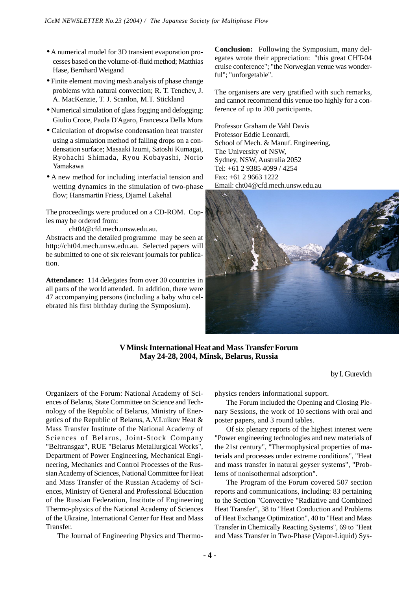- A numerical model for 3D transient evaporation processes based on the volume-of-fluid method; Matthias Hase, Bernhard Weigand
- Finite element moving mesh analysis of phase change problems with natural convection; R. T. Tenchev, J. A. MacKenzie, T. J. Scanlon, M.T. Stickland
- Numerical simulation of glass fogging and defogging; Giulio Croce, Paola D'Agaro, Francesca Della Mora
- Calculation of dropwise condensation heat transfer using a simulation method of falling drops on a condensation surface; Masaaki Izumi, Satoshi Kumagai, Ryohachi Shimada, Ryou Kobayashi, Norio Yamakawa
- A new method for including interfacial tension and wetting dynamics in the simulation of two-phase flow; Hansmartin Friess, Djamel Lakehal

The proceedings were produced on a CD-ROM. Copies may be ordered from:

cht04@cfd.mech.unsw.edu.au.

Abstracts and the detailed programme may be seen at http://cht04.mech.unsw.edu.au. Selected papers will be submitted to one of six relevant journals for publication.

**Attendance:** 114 delegates from over 30 countries in all parts of the world attended. In addition, there were 47 accompanying persons (including a baby who celebrated his first birthday during the Symposium).

**Conclusion:** Following the Symposium, many delegates wrote their appreciation: "this great CHT-04 cruise conference"; "the Norwegian venue was wonderful"; "unforgetable".

The organisers are very gratified with such remarks, and cannot recommend this venue too highly for a conference of up to 200 participants.

Professor Graham de Vahl Davis Professor Eddie Leonardi, School of Mech. & Manuf. Engineering, The University of NSW, Sydney, NSW, Australia 2052 Tel: +61 2 9385 4099 / 4254 Fax: +61 2 9663 1222 Email: cht04@cfd.mech.unsw.edu.au



#### **V Minsk International Heat and Mass Transfer Forum May 24-28, 2004, Minsk, Belarus, Russia**

by I. Gurevich

Organizers of the Forum: National Academy of Sciences of Belarus, State Committee on Science and Technology of the Republic of Belarus, Ministry of Energetics of the Republic of Belarus, A.V.Luikov Heat & Mass Transfer Institute of the National Academy of Sciences of Belarus, Joint-Stock Company "Beltransgaz", RUE "Belarus Metallurgical Works", Department of Power Engineering, Mechanical Engineering, Mechanics and Control Processes of the Russian Academy of Sciences, National Committee for Heat and Mass Transfer of the Russian Academy of Sciences, Ministry of General and Professional Education of the Russian Federation, Institute of Engineering Thermo-physics of the National Academy of Sciences of the Ukraine, International Center for Heat and Mass Transfer.

The Journal of Engineering Physics and Thermo-

physics renders informational support.

The Forum included the Opening and Closing Plenary Sessions, the work of 10 sections with oral and poster papers, and 3 round tables.

Of six plenary reports of the highest interest were "Power engineering technologies and new materials of the 21st century", "Thermophysical properties of materials and processes under extreme conditions", "Heat and mass transfer in natural geyser systems", "Problems of nonisothermal adsorption".

The Program of the Forum covered 507 section reports and communications, including: 83 pertaining to the Section "Convective "Radiative and Combined Heat Transfer", 38 to "Heat Conduction and Problems of Heat Exchange Optimization", 40 to "Heat and Mass Transfer in Chemically Reacting Systems", 69 to "Heat and Mass Transfer in Two-Phase (Vapor-Liquid) Sys-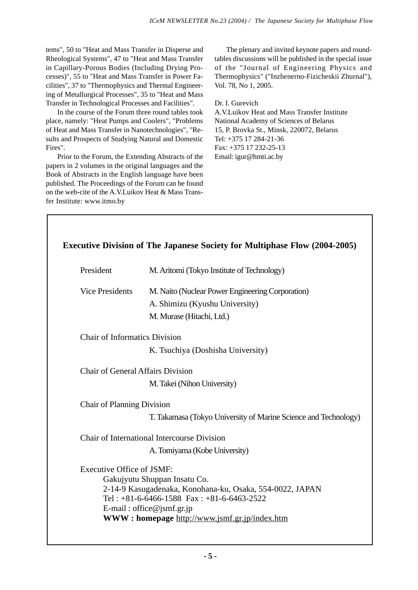tems", 50 to "Heat and Mass Transfer in Disperse and Rheological Systems", 47 to "Heat and Mass Transfer in Capillary-Porous Bodies (Including Drying Processes)", 55 to "Heat and Mass Transfer in Power Facilities", 37 to "Thermophysics and Thermal Engineering of Metallurgical Processes", 35 to "Heat and Mass Transfer in Technological Processes and Facilities".

In the course of the Forum three round tables took place, namely: "Heat Pumps and Coolers", "Problems of Heat and Mass Transfer in Nanotechnologies", "Results and Prospects of Studying Natural and Domestic Fires".

Prior to the Forum, the Extending Abstracts of the papers in 2 volumes in the original languages and the Book of Abstracts in the English language have been published. The Proceedings of the Forum can be found on the web-cite of the A.V.Luikov Heat & Mass Transfer Institute: www.itmo.by

The plenary and invited keynote papers and roundtables discussions will be published in the special issue of the "Journal of Engineering Physics and Thermophysics" ("Inzhenerno-Fizicheskii Zhurnal"), Vol. 78, No 1, 2005.

Dr. I. Gurevich

A.V.Luikov Heat and Mass Transfer Institute National Academy of Sciences of Belarus 15, P. Brovka St., Minsk, 220072, Belarus Tel: +375 17 284-21-36 Fax: +375 17 232-25-13 Email: igur@hmti.ac.by

| <b>Executive Division of The Japanese Society for Multiphase Flow (2004-2005)</b> |                                                                            |
|-----------------------------------------------------------------------------------|----------------------------------------------------------------------------|
| President                                                                         | M. Aritomi (Tokyo Institute of Technology)                                 |
| <b>Vice Presidents</b>                                                            | M. Naito (Nuclear Power Engineering Corporation)                           |
|                                                                                   | A. Shimizu (Kyushu University)                                             |
|                                                                                   | M. Murase (Hitachi, Ltd.)                                                  |
| <b>Chair of Informatics Division</b>                                              |                                                                            |
|                                                                                   | K. Tsuchiya (Doshisha University)                                          |
| Chair of General Affairs Division                                                 |                                                                            |
|                                                                                   | M. Takei (Nihon University)                                                |
| Chair of Planning Division                                                        |                                                                            |
|                                                                                   | T. Takamasa (Tokyo University of Marine Science and Technology)            |
|                                                                                   | Chair of International Intercourse Division                                |
|                                                                                   | A. Tomiyama (Kobe University)                                              |
| Executive Office of JSMF:                                                         |                                                                            |
|                                                                                   | Gakujyutu Shuppan Insatu Co.                                               |
|                                                                                   | 2-14-9 Kasugadenaka, Konohana-ku, Osaka, 554-0022, JAPAN                   |
|                                                                                   | Tel: $+81-6-6466-1588$ Fax: $+81-6-6463-2522$<br>E-mail: office@jsmf.gr.jp |
|                                                                                   | WWW: homepage http://www.jsmf.gr.jp/index.htm                              |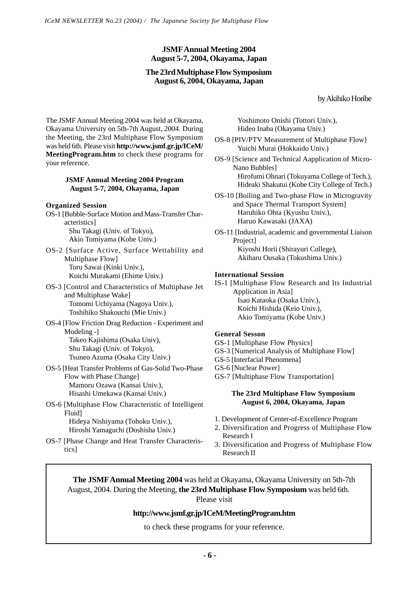## **JSMF Annual Meeting 2004 August 5-7, 2004, Okayama, Japan**

#### **The 23rd Multiphase Flow Symposium August 6, 2004, Okayama, Japan**

#### by Akihiko Horibe

The JSMF Annual Meeting 2004 was held at Okayama, Okayama University on 5th-7th August, 2004. During the Meeting, the 23rd Multiphase Flow Symposium was held 6th. Please visit **http://www.jsmf.gr.jp/ICeM/ MeetingProgram.htm** to check these programs for your reference.

#### **JSMF Annual Meeting 2004 Program August 5-7, 2004, Okayama, Japan**

#### **Organized Session**

- OS-1 [Bubble-Surface Motion and Mass-Transfer Characteristics] Shu Takagi (Univ. of Tokyo), Akio Tomiyama (Kobe Univ.)
- OS-2 [Surface Active, Surface Wettability and Multiphase Flow] Toru Sawai (Kinki Univ.), Koichi Murakami (Ehime Univ.)
- OS-3 [Control and Characteristics of Multiphase Jet and Multiphase Wake] Tomomi Uchiyama (Nagoya Univ.), Toshihiko Shakouchi (Mie Univ.)
- OS-4 [Flow Friction Drag Reduction Experiment and Modeling -] Takeo Kajishima (Osaka Univ), Shu Takagi (Univ. of Tokyo), Tsuneo Azuma (Osaka City Univ.)
- OS-5 [Heat Transfer Problems of Gas-Solid Two-Phase Flow with Phase Change] Mamoru Ozawa (Kansai Univ.), Hisashi Umekawa (Kansai Univ.)
- OS-6 [Multiphase Flow Characteristic of Intelligent Fluid] Hideya Nishiyama (Tohoku Univ.), Hiroshi Yamaguchi (Doshisha Univ.)
- OS-7 [Phase Change and Heat Transfer Characteristics]

Yoshimoto Onishi (Tottori Univ.), Hideo Inaba (Okayama Univ.)

- OS-8 [PIV/PTV Measurement of Multiphase Flow] Yuichi Murai (Hokkaido Univ.)
- OS-9 [Science and Technical Aapplication of Micro-Nano Bubbles] Hirofumi Ohnari (Tokuyama College of Tech.), Hideaki Shakutui (Kobe City College of Tech.)
- OS-10 [Boiling and Two-phase Flow in Microgravity and Space Thermal Transport System] Haruhiko Ohta (Kyushu Univ.), Haruo Kawasaki (JAXA)
- OS-11 [Industrial, academic and governmental Liaison Project] Kiyoshi Horii (Shirayuri College), Akiharu Ousaka (Tokushima Univ.)

#### **International Session**

IS-1 [Multiphase Flow Research and Its Industrial Application in Asia] Isao Kataoka (Osaka Univ.), Koichi Hishida (Keio Univ.), Akio Tomiyama (Kobe Univ.)

#### **General Sesson**

- GS-1 [Multiphase Flow Physics]
- GS-3 [Numerical Analysis of Multiphase Flow]
- GS-5 [Interfacial Phenomena]
- GS-6 [Nuclear Power]
- GS-7 [Multiphase Flow Transportation]

#### **The 23rd Multiphase Flow Symposium August 6, 2004, Okayama, Japan**

- 1. Development of Center-of-Excellence Program
- 2. Diversification and Progress of Multiphase Flow Research I
- 3. Diversification and Progress of Multiphase Flow Research II

**The JSMF Annual Meeting 2004** was held at Okayama, Okayama University on 5th-7th August, 2004. During the Meeting, **the 23rd Multiphase Flow Symposium** was held 6th. Please visit

## **http://www.jsmf.gr.jp/ICeM/MeetingProgram.htm**

to check these programs for your reference.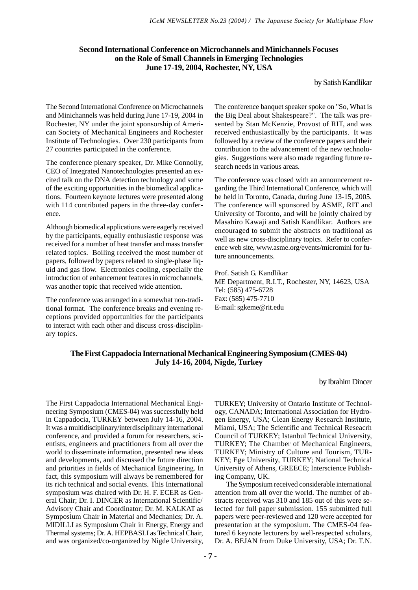#### **Second International Conference on Microchannels and Minichannels Focuses on the Role of Small Channels in Emerging Technologies June 17-19, 2004, Rochester, NY, USA**

by Satish Kandlikar

The Second International Conference on Microchannels and Minichannels was held during June 17-19, 2004 in Rochester, NY under the joint sponsorship of American Society of Mechanical Engineers and Rochester Institute of Technologies. Over 230 participants from 27 countries participated in the conference.

The conference plenary speaker, Dr. Mike Connolly, CEO of Integrated Nanotechnologies presented an excited talk on the DNA detection technology and some of the exciting opportunities in the biomedical applications. Fourteen keynote lectures were presented along with 114 contributed papers in the three-day conference.

Although biomedical applications were eagerly received by the participants, equally enthusiastic response was received for a number of heat transfer and mass transfer related topics. Boiling received the most number of papers, followed by papers related to single-phase liquid and gas flow. Electronics cooling, especially the introduction of enhancement features in microchannels, was another topic that received wide attention.

The conference was arranged in a somewhat non-traditional format. The conference breaks and evening receptions provided opportunities for the participants to interact with each other and discuss cross-disciplinary topics.

The conference banquet speaker spoke on "So, What is the Big Deal about Shakespeare?". The talk was presented by Stan McKenzie, Provost of RIT, and was received enthusiastically by the participants. It was followed by a review of the conference papers and their contribution to the advancement of the new technologies. Suggestions were also made regarding future research needs in various areas.

The conference was closed with an announcement regarding the Third International Conference, which will be held in Toronto, Canada, during June 13-15, 2005. The conference will sponsored by ASME, RIT and University of Toronto, and will be jointly chaired by Masahiro Kawaji and Satish Kandlikar. Authors are encouraged to submit the abstracts on traditional as well as new cross-disciplinary topics. Refer to conference web site, www.asme.org/events/micromini for future announcements.

Prof. Satish G. Kandlikar ME Department, R.I.T., Rochester, NY, 14623, USA Tel: (585) 475-6728 Fax: (585) 475-7710 E-mail: sgkeme@rit.edu

#### **The First Cappadocia International Mechanical Engineering Symposium (CMES-04) July 14-16, 2004, Nigde, Turkey**

by Ibrahim Dincer

The First Cappadocia International Mechanical Engineering Symposium (CMES-04) was successfully held in Cappadocia, TURKEY between July 14-16, 2004. It was a multidisciplinary/interdisciplinary international conference, and provided a forum for researchers, scientists, engineers and practitioners from all over the world to disseminate information, presented new ideas and developments, and discussed the future direction and priorities in fields of Mechanical Engineering. In fact, this symposium will always be remembered for its rich technical and social events. This International symposium was chaired with Dr. H. F. ECER as General Chair; Dr. I. DINCER as International Scientific/ Advisory Chair and Coordinator; Dr. M. KALKAT as Symposium Chair in Material and Mechanics; Dr. A. MIDILLI as Symposium Chair in Energy, Energy and Thermal systems; Dr. A. HEPBASLI as Technical Chair, and was organized/co-organized by Nigde University,

TURKEY; University of Ontario Institute of Technology, CANADA; International Association for Hydrogen Energy, USA; Clean Energy Research Institute, Miami, USA; The Scientific and Technical Reseacrh Council of TURKEY; Istanbul Technical University, TURKEY; The Chamber of Mechanical Engineers, TURKEY; Ministry of Culture and Tourism, TUR-KEY; Ege University, TURKEY; National Technical University of Athens, GREECE; Interscience Publishing Company, UK.

The Symposium received considerable international attention from all over the world. The number of abstracts received was 310 and 185 out of this were selected for full paper submission. 155 submitted full papers were peer-reviewed and 120 were accepted for presentation at the symposium. The CMES-04 featured 6 keynote lecturers by well-respected scholars, Dr. A. BEJAN from Duke University, USA; Dr. T.N.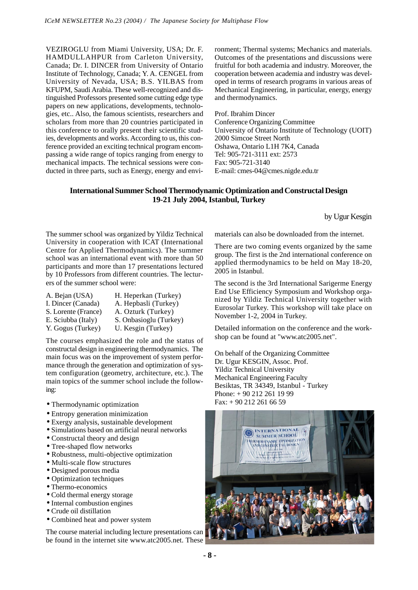VEZIROGLU from Miami University, USA; Dr. F. HAMDULLAHPUR from Carleton University, Canada; Dr. I. DINCER from University of Ontario Institute of Technology, Canada; Y. A. CENGEL from University of Nevada, USA; B.S. YILBAS from KFUPM, Saudi Arabia. These well-recognized and distinguished Professors presented some cutting edge type papers on new applications, developments, technologies, etc.. Also, the famous scientists, researchers and scholars from more than 20 countries participated in this conference to orally present their scientific studies, developments and works. According to us, this conference provided an exciting technical program encompassing a wide range of topics ranging from energy to mechanical impacts. The technical sessions were conducted in three parts, such as Energy, energy and environment; Thermal systems; Mechanics and materials. Outcomes of the presentations and discussions were fruitful for both academia and industry. Moreover, the cooperation between academia and industry was developed in terms of research programs in various areas of Mechanical Engineering, in particular, energy, energy and thermodynamics.

Prof. Ibrahim Dincer Conference Organizing Committee University of Ontario Institute of Technology (UOIT) 2000 Simcoe Street North Oshawa, Ontario L1H 7K4, Canada Tel: 905-721-3111 ext: 2573 Fax: 905-721-3140 E-mail: cmes-04@cmes.nigde.edu.tr

#### **International Summer School Thermodynamic Optimization and Constructal Design 19-21 July 2004, Istanbul, Turkey**

by Ugur Kesgin

The summer school was organized by Yildiz Technical University in cooperation with ICAT (International Centre for Applied Thermodynamics). The summer school was an international event with more than 50 participants and more than 17 presentations lectured by 10 Professors from different countries. The lecturers of the summer school were:

| H. Heperkan (Turkey)   |
|------------------------|
| A. Hepbasli (Turkey)   |
| A. Ozturk (Turkey)     |
| S. Onbasioglu (Turkey) |
| U. Kesgin (Turkey)     |
|                        |

The courses emphasized the role and the status of constructal design in engineering thermodynamics. The main focus was on the improvement of system performance through the generation and optimization of system configuration (geometry, architecture, etc.). The main topics of the summer school include the following:

- Thermodynamic optimization
- Entropy generation minimization
- Exergy analysis, sustainable development
- Simulations based on artificial neural networks
- Constructal theory and design
- Tree-shaped flow networks
- Robustness, multi-objective optimization
- Multi-scale flow structures
- Designed porous media
- Optimization techniques
- Thermo-economics
- Cold thermal energy storage
- Internal combustion engines
- Crude oil distillation
- Combined heat and power system

The course material including lecture presentations can be found in the internet site www.atc2005.net. These materials can also be downloaded from the internet.

There are two coming events organized by the same group. The first is the 2nd international conference on applied thermodynamics to be held on May 18-20, 2005 in Istanbul.

The second is the 3rd International Sarigerme Energy End Use Efficiency Symposium and Workshop organized by Yildiz Technical University together with Eurosolar Turkey. This workshop will take place on November 1-2, 2004 in Turkey.

Detailed information on the conference and the workshop can be found at "www.atc2005.net".

On behalf of the Organizing Committee Dr. Ugur KESGIN, Assoc. Prof. Yildiz Technical University Mechanical Engineering Faculty Besiktas, TR 34349, Istanbul - Turkey Phone: + 90 212 261 19 99 Fax: + 90 212 261 66 59

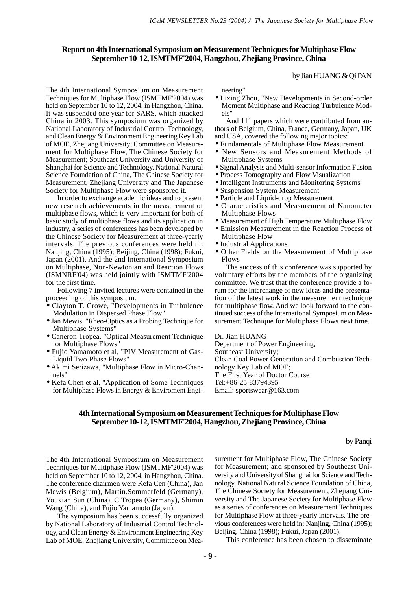#### **Report on 4th International Symposium on Measurement Techniques for Multiphase Flow September 10-12, ISMTMF'2004, Hangzhou, Zhejiang Province, China**

#### by Jian HUANG & Qi PAN

The 4th International Symposium on Measurement Techniques for Multiphase Flow (ISMTMF'2004) was held on September 10 to 12, 2004, in Hangzhou, China. It was suspended one year for SARS, which attacked China in 2003. This symposium was organized by National Laboratory of Industrial Control Technology, and Clean Energy & Environment Engineering Key Lab of MOE, Zhejiang University; Committee on Measurement for Multiphase Flow, The Chinese Society for Measurement; Southeast University and University of Shanghai for Science and Technology. National Natural Science Foundation of China, The Chinese Society for Measurement, Zhejiang University and The Japanese Society for Multiphase Flow were sponsored it.

In order to exchange academic ideas and to present new research achievements in the measurement of multiphase flows, which is very important for both of basic study of multiphase flows and its application in industry, a series of conferences has been developed by the Chinese Society for Measurement at three-yearly intervals. The previous conferences were held in: Nanjing, China (1995); Beijing, China (1998); Fukui, Japan (2001). And the 2nd International Symposium on Multiphase, Non-Newtonian and Reaction Flows (ISMNRF'04) was held jointly with ISMTMF'2004 for the first time.

Following 7 invited lectures were contained in the proceeding of this symposium.

- Clayton T. Crowe, "Developments in Turbulence Modulation in Dispersed Phase Flow"
- Jan Mewis, "Rheo-Optics as a Probing Technique for Multiphase Systems"
- Caneron Tropea, "Optical Measurement Technique for Multiphase Flows"
- Fujio Yamamoto et al, "PIV Measurement of Gas-Liquid Two-Phase Flows"
- Akimi Serizawa, "Multiphase Flow in Micro-Channels"
- Kefa Chen et al, "Application of Some Techniques for Multiphase Flows in Energy & Enviroment Engi-

neering"

• Lixing Zhou, "New Developments in Second-order Moment Multiphase and Reacting Turbulence Models"

And 111 papers which were contributed from authors of Belgium, China, France, Germany, Japan, UK and USA, covered the following major topics:

- Fundamentals of Multiphase Flow Measurement
- New Sensors and Measurement Methods of Multiphase Systems
- Signal Analysis and Multi-sensor Information Fusion
- Process Tomography and Flow Visualization
- Intelligent Instruments and Monitoring Systems
- Suspension System Measurement
- Particle and Liquid-drop Measurement
- Characteristics and Measurement of Nanometer Multiphase Flows
- Measurement of High Temperature Multiphase Flow
- Emission Measurement in the Reaction Process of Multiphase Flow
- Industrial Applications
- Other Fields on the Measurement of Multiphase Flows

The success of this conference was supported by voluntary efforts by the members of the organizing committee. We trust that the conference provide a forum for the interchange of new ideas and the presentation of the latest work in the measurement technique for multiphase flow. And we look forward to the continued success of the International Symposium on Measurement Technique for Multiphase Flows next time.

Dr. Jian HUANG

Department of Power Engineering,

Southeast University;

Clean Coal Power Generation and Combustion Technology Key Lab of MOE; The First Year of Doctor Course Tel:+86-25-83794395 Email: sportswear@163.com

#### **4th International Symposium on Measurement Techniques for Multiphase Flow September 10-12, ISMTMF'2004, Hangzhou, Zhejiang Province, China**

by Panqi

The 4th International Symposium on Measurement Techniques for Multiphase Flow (ISMTMF'2004) was held on September 10 to 12, 2004, in Hangzhou, China. The conference chairmen were Kefa Cen (China), Jan Mewis (Belgium), Martin.Sommerfeld (Germany), Youxian Sun (China), C.Tropea (Germany), Shimin Wang (China), and Fujio Yamamoto (Japan).

The symposium has been successfully organized by National Laboratory of Industrial Control Technology, and Clean Energy & Environment Engineering Key Lab of MOE, Zhejiang University, Committee on Measurement for Multiphase Flow, The Chinese Society for Measurement; and sponsored by Southeast University and University of Shanghai for Science and Technology. National Natural Science Foundation of China, The Chinese Society for Measurement, Zhejiang University and The Japanese Society for Multiphase Flow as a series of conferences on Measurement Techniques for Multiphase Flow at three-yearly intervals. The previous conferences were held in: Nanjing, China (1995); Beijing, China (1998); Fukui, Japan (2001).

This conference has been chosen to disseminate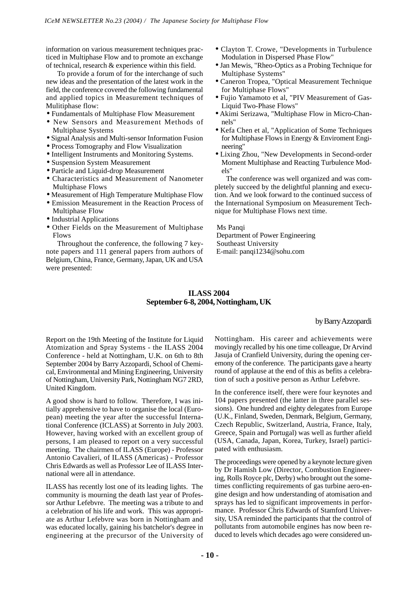information on various measurement techniques practiced in Multiphase Flow and to promote an exchange of technical, research & experience within this field.

To provide a forum of for the interchange of such new ideas and the presentation of the latest work in the field, the conference covered the following fundamental and applied topics in Measurement techniques of Mulitiphase flow:

- Fundamentals of Multiphase Flow Measurement
- New Sensors and Measurement Methods of Multiphase Systems
- Signal Analysis and Multi-sensor Information Fusion
- Process Tomography and Flow Visualization
- Intelligent Instruments and Monitoring Systems.
- Suspension System Measurement
- Particle and Liquid-drop Measurement
- Characteristics and Measurement of Nanometer Multiphase Flows
- Measurement of High Temperature Multiphase Flow • Emission Measurement in the Reaction Process of Multiphase Flow
- Industrial Applications
- Other Fields on the Measurement of Multiphase Flows

Throughout the conference, the following 7 keynote papers and 111 general papers from authors of Belgium, China, France, Germany, Japan, UK and USA were presented:

- Clayton T. Crowe, "Developments in Turbulence Modulation in Dispersed Phase Flow"
- Jan Mewis, "Rheo-Optics as a Probing Technique for Multiphase Systems"
- Caneron Tropea, "Optical Measurement Technique for Multiphase Flows"
- Fujio Yamamoto et al, "PIV Measurement of Gas-Liquid Two-Phase Flows"
- Akimi Serizawa, "Multiphase Flow in Micro-Channels"
- Kefa Chen et al, "Application of Some Techniques for Multiphase Flows in Energy & Enviroment Engineering"
- Lixing Zhou, "New Developments in Second-order Moment Multiphase and Reacting Turbulence Models"

The conference was well organized and was completely succeed by the delightful planning and execution. And we look forward to the continued success of the International Symposium on Measurement Technique for Multiphase Flows next time.

#### Ms Panqi

 Department of Power Engineering Southeast University E-mail: panqi1234@sohu.com

## **ILASS 2004 September 6-8, 2004, Nottingham, UK**

by Barry Azzopardi

Report on the 19th Meeting of the Institute for Liquid Atomization and Spray Systems - the ILASS 2004 Conference - held at Nottingham, U.K. on 6th to 8th September 2004 by Barry Azzopardi, School of Chemical, Environmental and Mining Engineering, University of Nottingham, University Park, Nottingham NG7 2RD, United Kingdom.

A good show is hard to follow. Therefore, I was initially apprehensive to have to organise the local (European) meeting the year after the successful International Conference (ICLASS) at Sorrento in July 2003. However, having worked with an excellent group of persons, I am pleased to report on a very successful meeting. The chairmen of ILASS (Europe) - Professor Antonio Cavalieri, of ILASS (Americas) - Professor Chris Edwards as well as Professor Lee of ILASS International were all in attendance.

ILASS has recently lost one of its leading lights. The community is mourning the death last year of Professor Arthur Lefebvre. The meeting was a tribute to and a celebration of his life and work. This was appropriate as Arthur Lefebvre was born in Nottingham and was educated locally, gaining his batchelor's degree in engineering at the precursor of the University of Nottingham. His career and achievements were movingly recalled by his one time colleague, Dr Arvind Jasuja of Cranfield University, during the opening ceremony of the conference. The participants gave a hearty round of applause at the end of this as befits a celebration of such a positive person as Arthur Lefebvre.

In the conference itself, there were four keynotes and 104 papers presented (the latter in three parallel sessions). One hundred and eighty delegates from Europe (U.K., Finland, Sweden, Denmark, Belgium, Germany, Czech Republic, Switzerland, Austria, France, Italy, Greece, Spain and Portugal) was well as further afield (USA, Canada, Japan, Korea, Turkey, Israel) participated with enthusiasm.

The proceedings were opened by a keynote lecture given by Dr Hamish Low (Director, Combustion Engineering, Rolls Royce plc, Derby) who brought out the sometimes conflicting requirements of gas turbine aero-engine design and how understanding of atomisation and sprays has led to significant improvements in performance. Professor Chris Edwards of Stamford University, USA reminded the participants that the control of pollutants from automobile engines has now been reduced to levels which decades ago were considered un-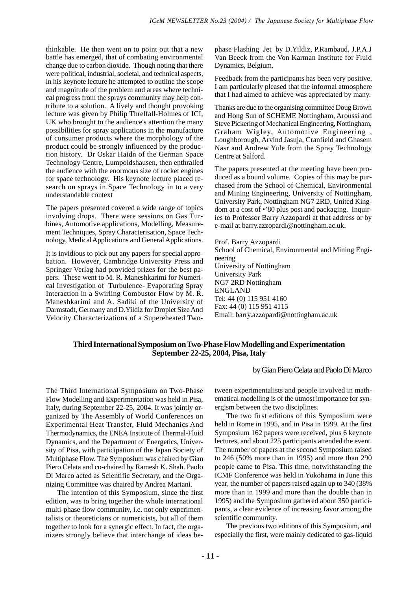thinkable. He then went on to point out that a new battle has emerged, that of combating environmental change due to carbon dioxide. Though noting that there were political, industrial, societal, and technical aspects, in his keynote lecture he attempted to outline the scope and magnitude of the problem and areas where technical progress from the sprays community may help contribute to a solution. A lively and thought provoking lecture was given by Philip Threlfall-Holmes of ICI, UK who brought to the audience's attention the many possibilities for spray applications in the manufacture of consumer products where the morphology of the product could be strongly influenced by the production history. Dr Oskar Haidn of the German Space Technology Centre, Lumpoldshausen, then enthralled the audience with the enormous size of rocket engines for space technology. His keynote lecture placed research on sprays in Space Technology in to a very understandable context

The papers presented covered a wide range of topics involving drops. There were sessions on Gas Turbines, Automotive applications, Modelling, Measurement Techniques, Spray Characterisation, Space Technology, Medical Applications and General Applications.

It is invidious to pick out any papers for special approbation. However, Cambridge University Press and Springer Verlag had provided prizes for the best papers. These went to M. R. Maneshkarimi for Numerical Investigation of Turbulence- Evaporating Spray Interaction in a Swirling Combustor Flow by M. R. Maneshkarimi and A. Sadiki of the University of Darmstadt, Germany and D.Yildiz for Droplet Size And Velocity Characterizations of a Supereheated Twophase Flashing Jet by D.Yildiz, P.Rambaud, J.P.A.J Van Beeck from the Von Karman Institute for Fluid Dynamics, Belgium.

Feedback from the participants has been very positive. I am particularly pleased that the informal atmosphere that I had aimed to achieve was appreciated by many.

Thanks are due to the organising committee Doug Brown and Hong Sun of SCHEME Nottingham, Aroussi and Steve Pickering of Mechanical Engineering, Nottingham, Graham Wigley, Automotive Engineering , Loughborough, Arvind Jasuja, Cranfield and Ghasem Nasr and Andrew Yule from the Spray Technology Centre at Salford.

The papers presented at the meeting have been produced as a bound volume. Copies of this may be purchased from the School of Chemical, Environmental and Mining Engineering, University of Nottingham, University Park, Nottingham NG7 2RD, United Kingdom at a cost of •'80 plus post and packaging. Inquiries to Professor Barry Azzopardi at that address or by e-mail at barry.azzopardi@nottingham.ac.uk.

Prof. Barry Azzopardi School of Chemical, Environmental and Mining Engineering University of Nottingham University Park NG7 2RD Nottingham ENGLAND Tel: 44 (0) 115 951 4160 Fax: 44 (0) 115 951 4115 Email: barry.azzopardi@nottingham.ac.uk

#### **Third International Symposium on Two-Phase Flow Modelling and Experimentation September 22-25, 2004, Pisa, Italy**

by Gian Piero Celata and Paolo Di Marco

The Third International Symposium on Two-Phase Flow Modelling and Experimentation was held in Pisa, Italy, during September 22-25, 2004. It was jointly organized by The Assembly of World Conferences on Experimental Heat Transfer, Fluid Mechanics And Thermodynamics, the ENEA Institute of Thermal-Fluid Dynamics, and the Department of Energetics, University of Pisa, with participation of the Japan Society of Multiphase Flow. The Symposium was chaired by Gian Piero Celata and co-chaired by Ramesh K. Shah. Paolo Di Marco acted as Scientific Secretary, and the Organizing Committee was chaired by Andrea Mariani.

The intention of this Symposium, since the first edition, was to bring together the whole international multi-phase flow community, i.e. not only experimentalists or theoreticians or numericists, but all of them together to look for a synergic effect. In fact, the organizers strongly believe that interchange of ideas between experimentalists and people involved in mathematical modelling is of the utmost importance for synergism between the two disciplines.

The two first editions of this Symposium were held in Rome in 1995, and in Pisa in 1999. At the first Symposium 162 papers were received, plus 6 keynote lectures, and about 225 participants attended the event. The number of papers at the second Symposium raised to 246 (50% more than in 1995) and more than 290 people came to Pisa. This time, notwithstanding the ICMF Conference was held in Yokohama in June this year, the number of papers raised again up to 340 (38% more than in 1999 and more than the double than in 1995) and the Symposium gathered about 350 participants, a clear evidence of increasing favor among the scientific community.

The previous two editions of this Symposium, and especially the first, were mainly dedicated to gas-liquid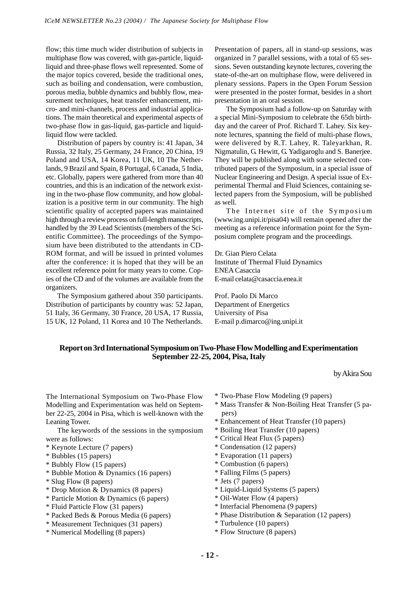flow; this time much wider distribution of subjects in multiphase flow was covered, with gas-particle, liquidliquid and three-phase flows well represented. Some of the major topics covered, beside the traditional ones, such as boiling and condensation, were combustion, porous media, bubble dynamics and bubbly flow, measurement techniques, heat transfer enhancement, micro- and mini-channels, process and industrial applications. The main theoretical and experimental aspects of two-phase flow in gas-liquid, gas-particle and liquidliquid flow were tackled.

Distribution of papers by country is: 41 Japan, 34 Russia, 32 Italy, 25 Germany, 24 France, 20 China, 19 Poland and USA, 14 Korea, 11 UK, 10 The Netherlands, 9 Brazil and Spain, 8 Portugal, 6 Canada, 5 India, etc. Globally, papers were gathered from more than 40 countries, and this is an indication of the network existing in the two-phase flow community, and how globalization is a positive term in our community. The high scientific quality of accepted papers was maintained high through a review process on full-length manuscripts, handled by the 39 Lead Scientists (members of the Scientific Committee). The proceedings of the Symposium have been distributed to the attendants in CD-ROM format, and will be issued in printed volumes after the conference: it is hoped that they will be an excellent reference point for many years to come. Copies of the CD and of the volumes are available from the organizers.

The Symposium gathered about 350 participants. Distribution of participants by country was: 52 Japan, 51 Italy, 36 Germany, 30 France, 20 USA, 17 Russia, 15 UK, 12 Poland, 11 Korea and 10 The Netherlands.

Presentation of papers, all in stand-up sessions, was organized in 7 parallel sessions, with a total of 65 sessions. Seven outstanding keynote lectures, covering the state-of-the-art on multiphase flow, were delivered in plenary sessions. Papers in the Open Forum Session were presented in the poster format, besides in a short presentation in an oral session.

The Symposium had a follow-up on Saturday with a special Mini-Symposium to celebrate the 65th birthday and the career of Prof. Richard T. Lahey. Six keynote lectures, spanning the field of multi-phase flows, were delivered by R.T. Lahey, R. Taleyarkhan, R. Nigmatulin, G. Hewitt, G. Yadigaroglu and S. Banerjee. They will be published along with some selected contributed papers of the Symposium, in a special issue of Nuclear Engineering and Design. A special issue of Experimental Thermal and Fluid Sciences, containing selected papers from the Symposium, will be published as well.

The Internet site of the Symposium (www.ing.unipi.it/pisa04) will remain opened after the meeting as a reference information point for the Symposium complete program and the proceedings.

Dr. Gian Piero Celata Institute of Thermal Fluid Dynamics ENEA Casaccia E-mail celata@casaccia.enea.it

Prof. Paolo Di Marco Department of Energetics University of Pisa E-mail p.dimarco@ing.unipi.it

## **Report on 3rd International Symposium on Two-Phase Flow Modelling and Experimentation September 22-25, 2004, Pisa, Italy**

by Akira Sou

The International Symposium on Two-Phase Flow Modelling and Experimentation was held on September 22-25, 2004 in Pisa, which is well-known with the Leaning Tower.

The keywords of the sessions in the symposium were as follows:

- \* Keynote Lecture (7 papers)
- \* Bubbles (15 papers)
- \* Bubbly Flow (15 papers)
- \* Bubble Motion & Dynamics (16 papers)
- \* Slug Flow (8 papers)
- \* Drop Motion & Dynamics (8 papers)
- \* Particle Motion & Dynamics (6 papers)
- \* Fluid Particle Flow (31 papers)
- \* Packed Beds & Porous Media (6 papers)
- \* Measurement Techniques (31 papers)
- \* Numerical Modelling (8 papers)
- \* Two-Phase Flow Modeling (9 papers)
- \* Mass Transfer & Non-Boiling Heat Transfer (5 papers)
- \* Enhancement of Heat Transfer (10 papers)
- \* Boiling Heat Transfer (10 papers)
- \* Critical Heat Flux (5 papers)
- \* Condensation (12 papers)
- \* Evaporation (11 papers)
- \* Combustion (6 papers)
- \* Falling Films (5 papers)
- \* Jets (7 papers)
- \* Liquid-Liquid Systems (5 papers)
- \* Oil-Water Flow (4 papers)
- \* Interfacial Phenomena (9 papers)
- \* Phase Distribution & Separation (12 papers)
- \* Turbulence (10 papers)
- \* Flow Structure (8 papers)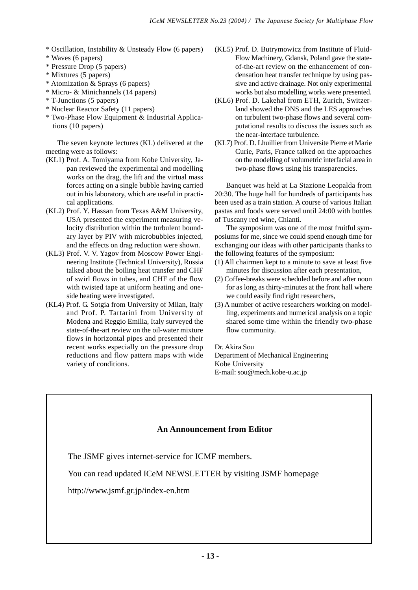- \* Oscillation, Instability & Unsteady Flow (6 papers)
- \* Waves (6 papers)
- \* Pressure Drop (5 papers)
- \* Mixtures (5 papers)
- \* Atomization & Sprays (6 papers)
- \* Micro- & Minichannels (14 papers)
- \* T-Junctions (5 papers)
- \* Nuclear Reactor Safety (11 papers)
- \* Two-Phase Flow Equipment & Industrial Applications (10 papers)

The seven keynote lectures (KL) delivered at the meeting were as follows:

- (KL1) Prof. A. Tomiyama from Kobe University, Japan reviewed the experimental and modelling works on the drag, the lift and the virtual mass forces acting on a single bubble having carried out in his laboratory, which are useful in practical applications.
- (KL2) Prof. Y. Hassan from Texas A&M University, USA presented the experiment measuring velocity distribution within the turbulent boundary layer by PIV with microbubbles injected, and the effects on drag reduction were shown.
- (KL3) Prof. V. V. Yagov from Moscow Power Engineering Institute (Technical University), Russia talked about the boiling heat transfer and CHF of swirl flows in tubes, and CHF of the flow with twisted tape at uniform heating and oneside heating were investigated.
- (KL4) Prof. G. Sotgia from University of Milan, Italy and Prof. P. Tartarini from University of Modena and Reggio Emilia, Italy surveyed the state-of-the-art review on the oil-water mixture flows in horizontal pipes and presented their recent works especially on the pressure drop reductions and flow pattern maps with wide variety of conditions.
- (KL5) Prof. D. Butrymowicz from Institute of Fluid-Flow Machinery, Gdansk, Poland gave the stateof-the-art review on the enhancement of condensation heat transfer technique by using passive and active drainage. Not only experimental works but also modelling works were presented.
- (KL6) Prof. D. Lakehal from ETH, Zurich, Switzerland showed the DNS and the LES approaches on turbulent two-phase flows and several computational results to discuss the issues such as the near-interface turbulence.
- (KL7) Prof. D. Lhuillier from Universite Pierre et Marie Curie, Paris, France talked on the approaches on the modelling of volumetric interfacial area in two-phase flows using his transparencies.

Banquet was held at La Stazione Leopalda from 20:30. The huge hall for hundreds of participants has been used as a train station. A course of various Italian pastas and foods were served until 24:00 with bottles of Tuscany red wine, Chianti.

The symposium was one of the most fruitful symposiums for me, since we could spend enough time for exchanging our ideas with other participants thanks to the following features of the symposium:

- (1) All chairmen kept to a minute to save at least five minutes for discussion after each presentation,
- (2) Coffee-breaks were scheduled before and after noon for as long as thirty-minutes at the front hall where we could easily find right researchers,
- (3) A number of active researchers working on modelling, experiments and numerical analysis on a topic shared some time within the friendly two-phase flow community.

Dr. Akira Sou Department of Mechanical Engineering Kobe University E-mail: sou@mech.kobe-u.ac.jp

## **An Announcement from Editor**

The JSMF gives internet-service for ICMF members.

You can read updated ICeM NEWSLETTER by visiting JSMF homepage

http://www.jsmf.gr.jp/index-en.htm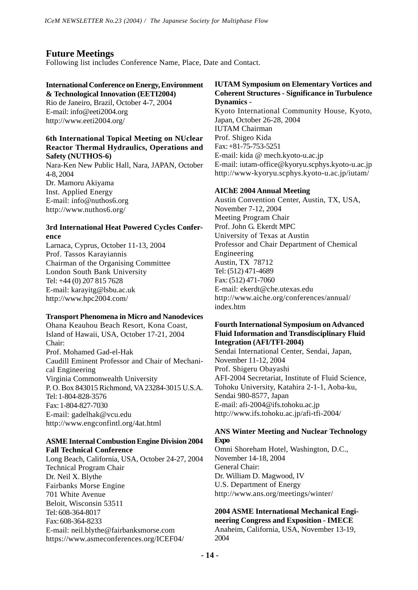## **Future Meetings**

Following list includes Conference Name, Place, Date and Contact.

#### **International Conference on Energy, Environment & Technological Innovation (EETI2004)**

Rio de Janeiro, Brazil, October 4-7, 2004 E-mail: info@eeti2004.org http://www.eeti2004.org/

#### **6th International Topical Meeting on NUclear Reactor Thermal Hydraulics, Operations and Safety (NUTHOS-6)**

Nara-Ken New Public Hall, Nara, JAPAN, October 4-8, 2004 Dr. Mamoru Akiyama Inst. Applied Energy E-mail: info@nuthos6.org http://www.nuthos6.org/

#### **3rd International Heat Powered Cycles Conference**

Larnaca, Cyprus, October 11-13, 2004 Prof. Tassos Karayiannis Chairman of the Organising Committee London South Bank University Tel: +44 (0) 207 815 7628 E-mail: karayitg@lsbu.ac.uk http://www.hpc2004.com/

#### **Transport Phenomena in Micro and Nanodevices**

Ohana Keauhou Beach Resort, Kona Coast, Island of Hawaii, USA, October 17-21, 2004 Chair: Prof. Mohamed Gad-el-Hak Caudill Eminent Professor and Chair of Mechanical Engineering Virginia Commonwealth University P. O. Box 843015 Richmond, VA 23284-3015 U.S.A. Tel: 1-804-828-3576 Fax: 1-804-827-7030 E-mail: gadelhak@vcu.edu http://www.engconfintl.org/4at.html

#### **ASME Internal Combustion Engine Division 2004 Fall Technical Conference**

Long Beach, California, USA, October 24-27, 2004 Technical Program Chair Dr. Neil X. Blythe Fairbanks Morse Engine 701 White Avenue Beloit, Wisconsin 53511 Tel: 608-364-8017 Fax: 608-364-8233 E-mail: neil.blythe@fairbanksmorse.com https://www.asmeconferences.org/ICEF04/

#### **IUTAM Symposium on Elementary Vortices and Coherent Structures - Significance in Turbulence Dynamics -**

Kyoto International Community House, Kyoto, Japan, October 26-28, 2004 IUTAM Chairman Prof. Shigeo Kida Fax: +81-75-753-5251 E-mail: kida @ mech.kyoto-u.ac.jp E-mail: iutam-office@kyoryu.scphys.kyoto-u.ac.jp http://www-kyoryu.scphys.kyoto-u.ac.jp/iutam/

#### **AIChE 2004 Annual Meeting**

Austin Convention Center, Austin, TX, USA, November 7-12, 2004 Meeting Program Chair Prof. John G. Ekerdt MPC University of Texas at Austin Professor and Chair Department of Chemical Engineering Austin, TX 78712 Tel: (512) 471-4689 Fax: (512) 471-7060 E-mail: ekerdt@che.utexas.edu http://www.aiche.org/conferences/annual/ index.htm

#### **Fourth International Symposium on Advanced Fluid Information and Transdisciplinary Fluid Integration (AFI/TFI-2004)**

Sendai International Center, Sendai, Japan, November 11-12, 2004 Prof. Shigeru Obayashi AFI-2004 Secretariat, Institute of Fluid Science, Tohoku University, Katahira 2-1-1, Aoba-ku, Sendai 980-8577, Japan E-mail: afi-2004@ifs.tohoku.ac.jp http://www.ifs.tohoku.ac.jp/afi-tfi-2004/

#### **ANS Winter Meeting and Nuclear Technology Expo**

Omni Shoreham Hotel, Washington, D.C., November 14-18, 2004 General Chair: Dr. William D. Magwood, IV U.S. Department of Energy http://www.ans.org/meetings/winter/

#### **2004 ASME International Mechanical Engineering Congress and Exposition - IMECE** Anaheim, California, USA, November 13-19,

2004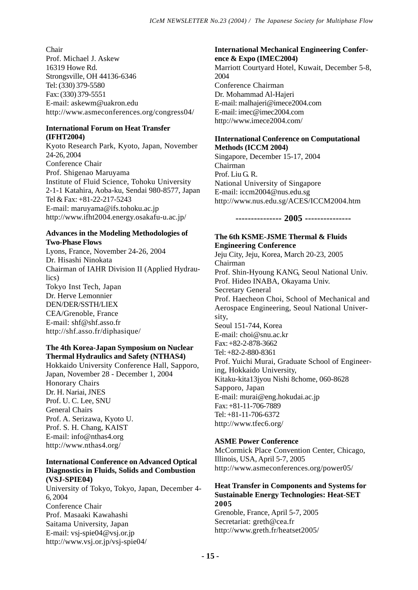Chair Prof. Michael J. Askew 16319 Howe Rd. Strongsville, OH 44136-6346 Tel: (330) 379-5580 Fax: (330) 379-5551 E-mail: askewm@uakron.edu http://www.asmeconferences.org/congress04/

## **International Forum on Heat Transfer (IFHT2004)**

Kyoto Research Park, Kyoto, Japan, November 24-26, 2004 Conference Chair Prof. Shigenao Maruyama Institute of Fluid Science, Tohoku University 2-1-1 Katahira, Aoba-ku, Sendai 980-8577, Japan Tel & Fax: +81-22-217-5243 E-mail: maruyama@ifs.tohoku.ac.jp http://www.ifht2004.energy.osakafu-u.ac.jp/

#### **Advances in the Modeling Methodologies of Two-Phase Flows**

Lyons, France, November 24-26, 2004 Dr. Hisashi Ninokata Chairman of IAHR Division II (Applied Hydraulics) Tokyo Inst Tech, Japan Dr. Herve Lemonnier DEN/DER/SSTH/LIEX CEA/Grenoble, France E-mail: shf@shf.asso.fr http://shf.asso.fr/diphasique/

## **The 4th Korea-Japan Symposium on Nuclear Thermal Hydraulics and Safety (NTHAS4)**

Hokkaido University Conference Hall, Sapporo, Japan, November 28 - December 1, 2004 Honorary Chairs Dr. H. Nariai, JNES Prof. U. C. Lee, SNU General Chairs Prof. A. Serizawa, Kyoto U. Prof. S. H. Chang, KAIST E-mail: info@nthas4.org http://www.nthas4.org/

#### **International Conference on Advanced Optical Diagnostics in Fluids, Solids and Combustion (VSJ-SPIE04)**

University of Tokyo, Tokyo, Japan, December 4- 6, 2004 Conference Chair Prof. Masaaki Kawahashi Saitama University, Japan E-mail: vsj-spie04@vsj.or.jp http://www.vsj.or.jp/vsj-spie04/

## **International Mechanical Engineering Conference & Expo (IMEC2004)** Marriott Courtyard Hotel, Kuwait, December 5-8,

2004 Conference Chairman Dr. Mohammad Al-Hajeri E-mail: malhajeri@imece2004.com E-mail: imec@imec2004.com http://www.imece2004.com/

#### **IInternational Conference on Computational Methods (ICCM 2004)**

Singapore, December 15-17, 2004 Chairman Prof. Liu G. R. National University of Singapore E-mail: iccm2004@nus.edu.sg http://www.nus.edu.sg/ACES/ICCM2004.htm

**--------------- 2005 ---------------**

#### **The 6th KSME-JSME Thermal & Fluids Engineering Conference**

Jeju City, Jeju, Korea, March 20-23, 2005 Chairman Prof. Shin-Hyoung KANG, Seoul National Univ. Prof. Hideo INABA, Okayama Univ. Secretary General Prof. Haecheon Choi, School of Mechanical and Aerospace Engineering, Seoul National University, Seoul 151-744, Korea E-mail: choi@snu.ac.kr Fax: +82-2-878-3662 Tel: +82-2-880-8361 Prof. Yuichi Murai, Graduate School of Engineering, Hokkaido University, Kitaku-kita13jyou Nishi 8chome, 060-8628 Sapporo, Japan E-mail: murai@eng.hokudai.ac.jp Fax: +81-11-706-7889 Tel: +81-11-706-6372 http://www.tfec6.org/

## **ASME Power Conference**

McCormick Place Convention Center, Chicago, Illinois, USA, April 5-7, 2005 http://www.asmeconferences.org/power05/

## **Heat Transfer in Components and Systems for Sustainable Energy Technologies: Heat-SET 2005**

Grenoble, France, April 5-7, 2005 Secretariat: greth@cea.fr http://www.greth.fr/heatset2005/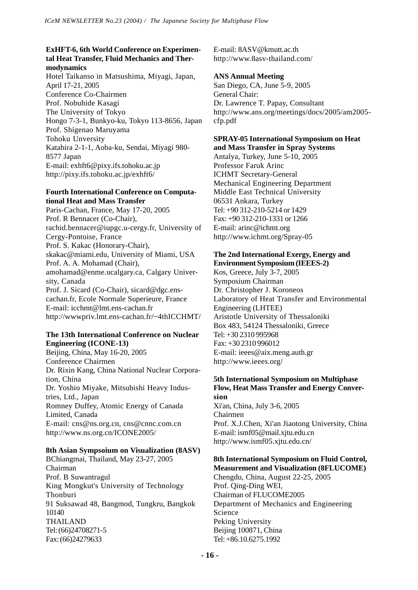#### **ExHFT-6, 6th World Conference on Experimental Heat Transfer, Fluid Mechanics and Thermodynamics**

Hotel Taikanso in Matsushima, Miyagi, Japan, April 17-21, 2005 Conference Co-Chairmen Prof. Nobuhide Kasagi The University of Tokyo Hongo 7-3-1, Bunkyo-ku, Tokyo 113-8656, Japan Prof. Shigenao Maruyama Tohoku Unversity Katahira 2-1-1, Aoba-ku, Sendai, Miyagi 980- 8577 Japan E-mail: exhft6@pixy.ifs.tohoku.ac.jp http://pixy.ifs.tohoku.ac.jp/exhft6/

#### **Fourth International Conference on Computational Heat and Mass Transfer**

Paris-Cachan, France, May 17-20, 2005 Prof. R Bennacer (Co-Chair), rachid.bennacer@iupgc.u-cergy.fr, University of Cergy-Pontoise, France Prof. S. Kakac (Honorary-Chair), skakac@miami.edu, University of Miami, USA Prof. A. A. Mohamad (Chair), amohamad@enme.ucalgary.ca, Calgary University, Canada Prof. J. Sicard (Co-Chair), sicard@dgc.enscachan.fr, Ecole Normale Superieure, France E-mail: icchmt@lmt.ens-cachan.fr http://wwwpriv.lmt.ens-cachan.fr/~4thICCHMT/

#### **The 13th International Conference on Nuclear Engineering (ICONE-13)**

Beijing, China, May 16-20, 2005 Conference Chairmen Dr. Rixin Kang, China National Nuclear Corporation, China Dr. Yoshio Miyake, Mitsubishi Heavy Industries, Ltd., Japan Romney Duffey, Atomic Energy of Canada Limited, Canada E-mail: cns@ns.org.cn, cns@cnnc.com.cn http://www.ns.org.cn/ICONE2005/

## **8th Asian Sympsoium on Visualization (8ASV)**

BChiangmai, Thailand, May 23-27, 2005 Chairman Prof. B Suwantragul King Mongkut's University of Technology Thonburi 91 Suksawad 48, Bangmod, Tungkru, Bangkok 10140 THAILAND Tel: (66)24708271-5 Fax: (66)24279633

E-mail: 8ASV@kmutt.ac.th http://www.8asv-thailand.com/

#### **ANS Annual Meeting**

San Diego, CA, June 5-9, 2005 General Chair: Dr. Lawrence T. Papay, Consultant http://www.ans.org/meetings/docs/2005/am2005 cfp.pdf

# **SPRAY-05 International Symposium on Heat**

**and Mass Transfer in Spray Systems** Antalya, Turkey, June 5-10, 2005 Professor Faruk Arinc ICHMT Secretary-General Mechanical Engineering Department Middle East Technical University 06531 Ankara, Turkey Tel: +90 312-210-5214 or 1429 Fax: +90 312-210-1331 or 1266 E-mail: arinc@ichmt.org http://www.ichmt.org/Spray-05

#### **The 2nd International Exergy, Energy and Environment Symposium (IEEES-2)**

Kos, Greece, July 3-7, 2005 Symposium Chairman Dr. Christopher J. Koroneos Laboratory of Heat Transfer and Environmental Engineering (LHTEE) Aristotle University of Thessaloniki Box 483, 54124 Thessaloniki, Greece Tel: +30 2310 995968 Fax: +30 2310 996012 E-mail: ieees@aix.meng.auth.gr http://www.ieees.org/

#### **5th International Symposium on Multiphase Flow, Heat Mass Transfer and Energy Conversion**

Xi'an, China, July 3-6, 2005 Chairmen Prof. X.J.Chen, Xi'an Jiaotong University, China E-mail: ismf05@mail.xjtu.edu.cn http://www.ismf05.xjtu.edu.cn/

## **8th International Symposium on Fluid Control, Measurement and Visualization (8FLUCOME)**

Chengdu, China, August 22-25, 2005 Prof. Qing-Ding WEI, Chairman of FLUCOME2005 Department of Mechanics and Engineering Science Peking University Beijing 100871, China Tel: +86.10.6275.1992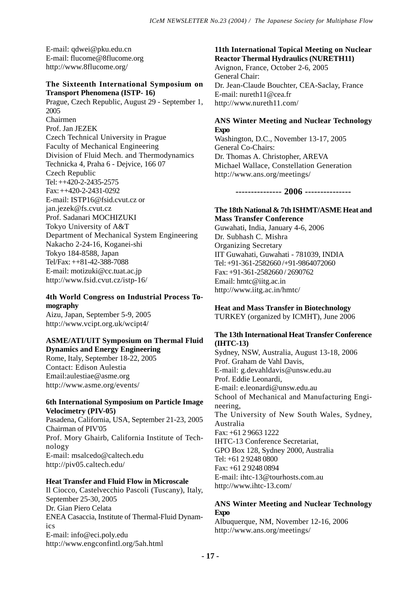E-mail: qdwei@pku.edu.cn E-mail: flucome@8flucome.org http://www.8flucome.org/

#### **The Sixteenth International Symposium on Transport Phenomena (ISTP- 16)**

Prague, Czech Republic, August 29 - September 1, 2005 Chairmen Prof. Jan JEZEK Czech Technical University in Prague Faculty of Mechanical Engineering Division of Fluid Mech. and Thermodynamics Technicka 4, Praha 6 - Dejvice, 166 07 Czech Republic Tel: ++420-2-2435-2575 Fax: ++420-2-2431-0292 E-mail: ISTP16@fsid.cvut.cz or jan.jezek@fs.cvut.cz Prof. Sadanari MOCHIZUKI Tokyo University of A&T Department of Mechanical System Engineering Nakacho 2-24-16, Koganei-shi Tokyo 184-8588, Japan Tel/Fax: ++81-42-388-7088 E-mail: motizuki@cc.tuat.ac.jp http://www.fsid.cvut.cz/istp-16/

## **4th World Congress on Industrial Process Tomography**

Aizu, Japan, September 5-9, 2005 http://www.vcipt.org.uk/wcipt4/

#### **ASME/ATI/UIT Symposium on Thermal Fluid Dynamics and Energy Engineering**

Rome, Italy, September 18-22, 2005 Contact: Edison Aulestia Email:aulestiae@asme.org http://www.asme.org/events/

#### **6th International Symposium on Particle Image Velocimetry (PIV-05)**

Pasadena, California, USA, September 21-23, 2005 Chairman of PIV'05 Prof. Mory Ghairb, California Institute of Technology E-mail: msalcedo@caltech.edu http://piv05.caltech.edu/

## **Heat Transfer and Fluid Flow in Microscale**

Il Ciocco, Castelvecchio Pascoli (Tuscany), Italy, September 25-30, 2005 Dr. Gian Piero Celata ENEA Casaccia, Institute of Thermal-Fluid Dynamics E-mail: info@eci.poly.edu http://www.engconfintl.org/5ah.html

#### **11th International Topical Meeting on Nuclear Reactor Thermal Hydraulics (NURETH11)** Avignon, France, October 2-6, 2005

General Chair: Dr. Jean-Claude Bouchter, CEA-Saclay, France E-mail: nureth11@cea.fr http://www.nureth11.com/

## **ANS Winter Meeting and Nuclear Technology Expo**

Washington, D.C., November 13-17, 2005 General Co-Chairs: Dr. Thomas A. Christopher, AREVA Michael Wallace, Constellation Generation http://www.ans.org/meetings/

**--------------- 2006 ---------------**

#### **The 18th National & 7th ISHMT/ASME Heat and Mass Transfer Conference**

Guwahati, India, January 4-6, 2006 Dr. Subhash C. Mishra Organizing Secretary IIT Guwahati, Guwahati - 781039, INDIA Tel: +91-361-2582660 /+91-9864072060 Fax: +91-361-2582660 / 2690762 Email: hmtc@iitg.ac.in http://www.iitg.ac.in/hmtc/

## **Heat and Mass Transfer in Biotechnology**

TURKEY (organized by ICMHT), June 2006

#### **The 13th International Heat Transfer Conference (IHTC-13)**

Sydney, NSW, Australia, August 13-18, 2006 Prof. Graham de Vahl Davis, E-mail: g.devahldavis@unsw.edu.au Prof. Eddie Leonardi, E-mail: e.leonardi@unsw.edu.au School of Mechanical and Manufacturing Engineering, The University of New South Wales, Sydney, Australia Fax: +61 2 9663 1222 IHTC-13 Conference Secretariat, GPO Box 128, Sydney 2000, Australia Tel: +61 2 9248 0800 Fax: +61 2 9248 0894 E-mail: ihtc-13@tourhosts.com.au http://www.ihtc-13.com/

#### **ANS Winter Meeting and Nuclear Technology Expo**

Albuquerque, NM, November 12-16, 2006 http://www.ans.org/meetings/